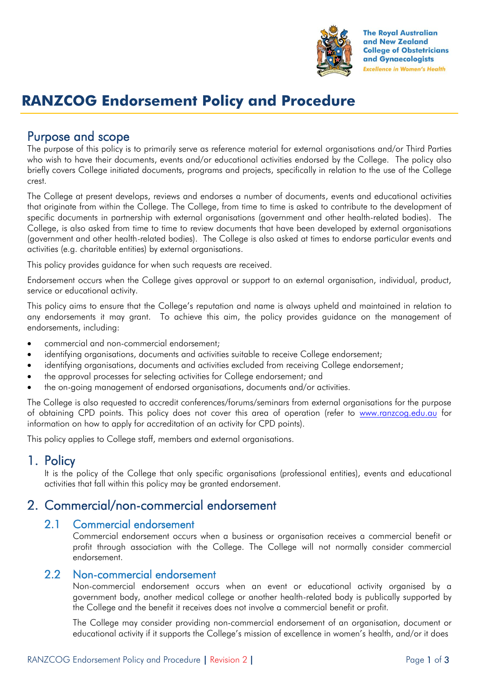

**The Royal Australian** and New Zealand **College of Obstetricians** and Gynaecologists **Excellence in Women's Health** 

# **RANZCOG Endorsement Policy and Procedure**

# Purpose and scope

The purpose of this policy is to primarily serve as reference material for external organisations and/or Third Parties who wish to have their documents, events and/or educational activities endorsed by the College. The policy also briefly covers College initiated documents, programs and projects, specifically in relation to the use of the College crest.

The College at present develops, reviews and endorses a number of documents, events and educational activities that originate from within the College. The College, from time to time is asked to contribute to the development of specific documents in partnership with external organisations (government and other health-related bodies). The College, is also asked from time to time to review documents that have been developed by external organisations (government and other health-related bodies). The College is also asked at times to endorse particular events and activities (e.g. charitable entities) by external organisations.

This policy provides guidance for when such requests are received.

Endorsement occurs when the College gives approval or support to an external organisation, individual, product, service or educational activity.

This policy aims to ensure that the College's reputation and name is always upheld and maintained in relation to any endorsements it may grant. To achieve this aim, the policy provides guidance on the management of endorsements, including:

- commercial and non-commercial endorsement;
- identifying organisations, documents and activities suitable to receive College endorsement;
- identifying organisations, documents and activities excluded from receiving College endorsement;
- the approval processes for selecting activities for College endorsement; and
- the on-going management of endorsed organisations, documents and/or activities.

The College is also requested to accredit conferences/forums/seminars from external organisations for the purpose of obtaining CPD points. This policy does not cover this area of operation (refer to [www.ranzcog.edu.au](http://www.ranzcog.edu.au/) for information on how to apply for accreditation of an activity for CPD points).

This policy applies to College staff, members and external organisations.

#### 1. Policy

It is the policy of the College that only specific organisations (professional entities), events and educational activities that fall within this policy may be granted endorsement.

# 2. Commercial/non-commercial endorsement

#### 2.1 Commercial endorsement

Commercial endorsement occurs when a business or organisation receives a commercial benefit or profit through association with the College. The College will not normally consider commercial endorsement.

#### 2.2 Non-commercial endorsement

Non-commercial endorsement occurs when an event or educational activity organised by a government body, another medical college or another health-related body is publically supported by the College and the benefit it receives does not involve a commercial benefit or profit.

The College may consider providing non-commercial endorsement of an organisation, document or educational activity if it supports the College's mission of excellence in women's health, and/or it does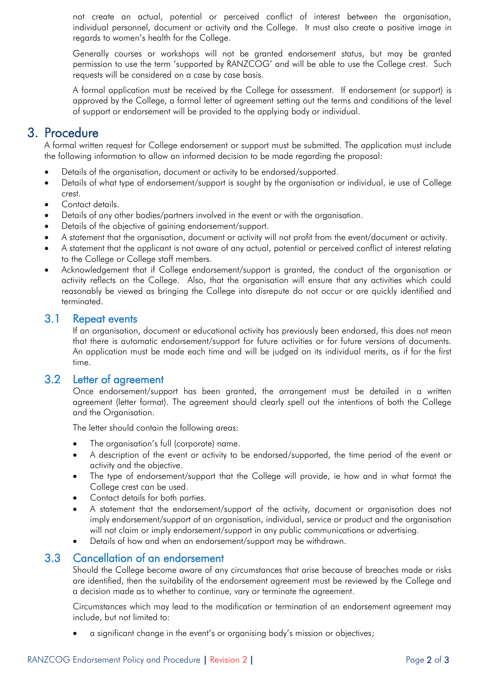not create an actual, potential or perceived conflict of interest between the organisation, individual personnel, document or activity and the College. It must also create a positive image in regards to women's health for the College.

Generally courses or workshops will not be granted endorsement status, but may be granted permission to use the term 'supported by RANZCOG' and will be able to use the College crest. Such requests will be considered on a case by case basis.

A formal application must be received by the College for assessment. If endorsement (or support) is approved by the College, a formal letter of agreement setting out the terms and conditions of the level of support or endorsement will be provided to the applying body or individual.

### 3. Procedure

A formal written request for College endorsement or support must be submitted. The application must include the following information to allow an informed decision to be made regarding the proposal:

- Details of the organisation, document or activity to be endorsed/supported.
- Details of what type of endorsement/support is sought by the organisation or individual, ie use of College crest.
- Contact details.
- Details of any other bodies/partners involved in the event or with the organisation.
- Details of the objective of gaining endorsement/support.
- A statement that the organisation, document or activity will not profit from the event/document or activity.
- A statement that the applicant is not aware of any actual, potential or perceived conflict of interest relating to the College or College staff members.
- Acknowledgement that if College endorsement/support is granted, the conduct of the organisation or activity reflects on the College. Also, that the organisation will ensure that any activities which could reasonably be viewed as bringing the College into disrepute do not occur or are quickly identified and terminated.

#### 3.1 Repeat events

If an organisation, document or educational activity has previously been endorsed, this does not mean that there is automatic endorsement/support for future activities or for future versions of documents. An application must be made each time and will be judged on its individual merits, as if for the first time.

#### 3.2 Letter of agreement

Once endorsement/support has been granted, the arrangement must be detailed in a written agreement (letter format). The agreement should clearly spell out the intentions of both the College and the Organisation.

The letter should contain the following areas:

- The organisation's full (corporate) name.
- A description of the event or activity to be endorsed/supported, the time period of the event or activity and the objective.
- The type of endorsement/support that the College will provide, ie how and in what format the College crest can be used.
- Contact details for both parties.
- A statement that the endorsement/support of the activity, document or organisation does not imply endorsement/support of an organisation, individual, service or product and the organisation will not claim or imply endorsement/support in any public communications or advertising.
- Details of how and when an endorsement/support may be withdrawn.

### 3.3 Cancellation of an endorsement

Should the College become aware of any circumstances that arise because of breaches made or risks are identified, then the suitability of the endorsement agreement must be reviewed by the College and a decision made as to whether to continue, vary or terminate the agreement.

Circumstances which may lead to the modification or termination of an endorsement agreement may include, but not limited to:

a significant change in the event's or organising body's mission or objectives;